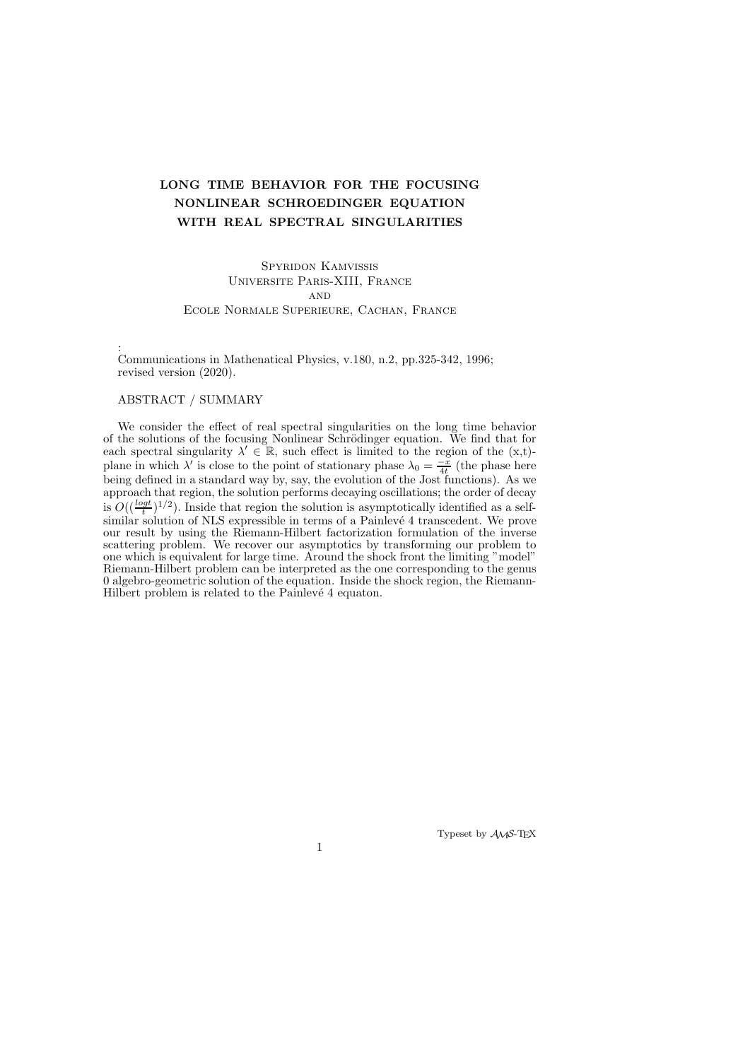# LONG TIME BEHAVIOR FOR THE FOCUSING NONLINEAR SCHROEDINGER EQUATION WITH REAL SPECTRAL SINGULARITIES

Spyridon Kamvissis Universite Paris-XIII, France **AND** Ecole Normale Superieure, Cachan, France

: Communications in Mathenatical Physics, v.180, n.2, pp.325-342, 1996; revised version (2020).

## ABSTRACT / SUMMARY

We consider the effect of real spectral singularities on the long time behavior of the solutions of the focusing Nonlinear Schrödinger equation. We find that for each spectral singularity  $\lambda' \in \mathbb{R}$ , such effect is limited to the region of the  $(x,t)$ plane in which  $\lambda'$  is close to the point of stationary phase  $\lambda_0 = \frac{-x}{4t}$  (the phase here being defined in a standard way by, say, the evolution of the Jost functions). As we approach that region, the solution performs decaying oscillations; the order of decay is  $O((\frac{log t}{t})^{1/2})$ . Inside that region the solution is asymptotically identified as a selfsimilar solution of NLS expressible in terms of a Painlevé 4 transcedent. We prove our result by using the Riemann-Hilbert factorization formulation of the inverse scattering problem. We recover our asymptotics by transforming our problem to one which is equivalent for large time. Around the shock front the limiting "model" Riemann-Hilbert problem can be interpreted as the one corresponding to the genus 0 algebro-geometric solution of the equation. Inside the shock region, the Riemann-Hilbert problem is related to the Painlevé 4 equaton.

Typeset by AMS-TEX

1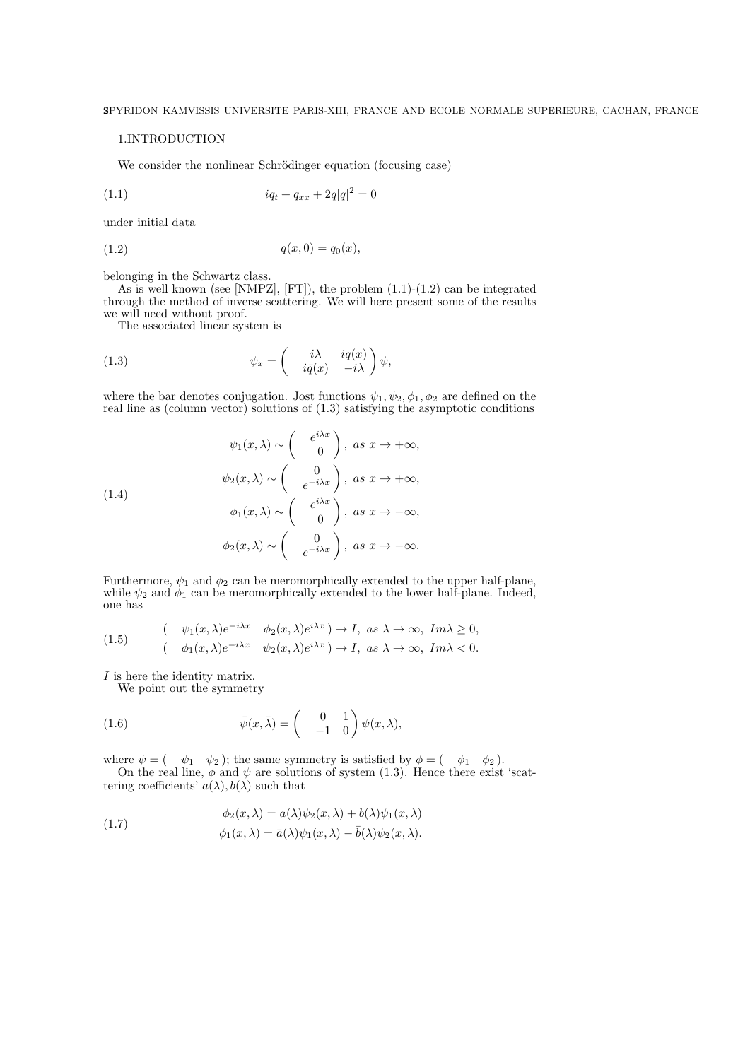## 1.INTRODUCTION

We consider the nonlinear Schrödinger equation (focusing case)

(1.1) 
$$
iq_t + q_{xx} + 2q|q|^2 = 0
$$

under initial data

$$
(1.2) \t\t q(x,0) = q_0(x),
$$

belonging in the Schwartz class.

As is well known (see [NMPZ], [FT]), the problem (1.1)-(1.2) can be integrated through the method of inverse scattering. We will here present some of the results we will need without proof.

The associated linear system is

(1.3) 
$$
\psi_x = \begin{pmatrix} i\lambda & iq(x) \\ i\bar{q}(x) & -i\lambda \end{pmatrix} \psi,
$$

where the bar denotes conjugation. Jost functions  $\psi_1, \psi_2, \phi_1, \phi_2$  are defined on the real line as (column vector) solutions of (1.3) satisfying the asymptotic conditions

(1.4)  
\n
$$
\psi_1(x,\lambda) \sim \begin{pmatrix} e^{i\lambda x} \\ 0 \end{pmatrix}, \text{ as } x \to +\infty,
$$
\n
$$
\psi_2(x,\lambda) \sim \begin{pmatrix} 0 \\ e^{-i\lambda x} \\ 0 \end{pmatrix}, \text{ as } x \to +\infty,
$$
\n
$$
\phi_1(x,\lambda) \sim \begin{pmatrix} e^{i\lambda x} \\ 0 \\ e^{-i\lambda x} \end{pmatrix}, \text{ as } x \to -\infty,
$$
\n
$$
\phi_2(x,\lambda) \sim \begin{pmatrix} 0 \\ e^{-i\lambda x} \end{pmatrix}, \text{ as } x \to -\infty.
$$

Furthermore,  $\psi_1$  and  $\phi_2$  can be meromorphically extended to the upper half-plane, while  $\psi_2$  and  $\phi_1$  can be meromorphically extended to the lower half-plane. Indeed, one has

(1.5) 
$$
\begin{aligned}\n(\psi_1(x,\lambda)e^{-i\lambda x} & \phi_2(x,\lambda)e^{i\lambda x}\n\end{aligned}\n\to I, \text{ as } \lambda \to \infty, \text{ Im}\lambda \ge 0, \\
(\phi_1(x,\lambda)e^{-i\lambda x} & \psi_2(x,\lambda)e^{i\lambda x}\n\to I, \text{ as } \lambda \to \infty, \text{ Im}\lambda < 0.
$$

I is here the identity matrix.

We point out the symmetry

(1.6) 
$$
\bar{\psi}(x,\bar{\lambda}) = \begin{pmatrix} 0 & 1 \\ -1 & 0 \end{pmatrix} \psi(x,\lambda),
$$

where  $\psi = (-\psi_1 \quad \psi_2)$ ; the same symmetry is satisfied by  $\phi = (-\phi_1 \quad \phi_2)$ .

On the real line,  $\phi$  and  $\psi$  are solutions of system (1.3). Hence there exist 'scattering coefficients'  $a(\lambda)$ ,  $b(\lambda)$  such that

(1.7) 
$$
\begin{aligned}\n\phi_2(x,\lambda) &= a(\lambda)\psi_2(x,\lambda) + b(\lambda)\psi_1(x,\lambda) \\
\phi_1(x,\lambda) &= \bar{a}(\lambda)\psi_1(x,\lambda) - \bar{b}(\lambda)\psi_2(x,\lambda).\n\end{aligned}
$$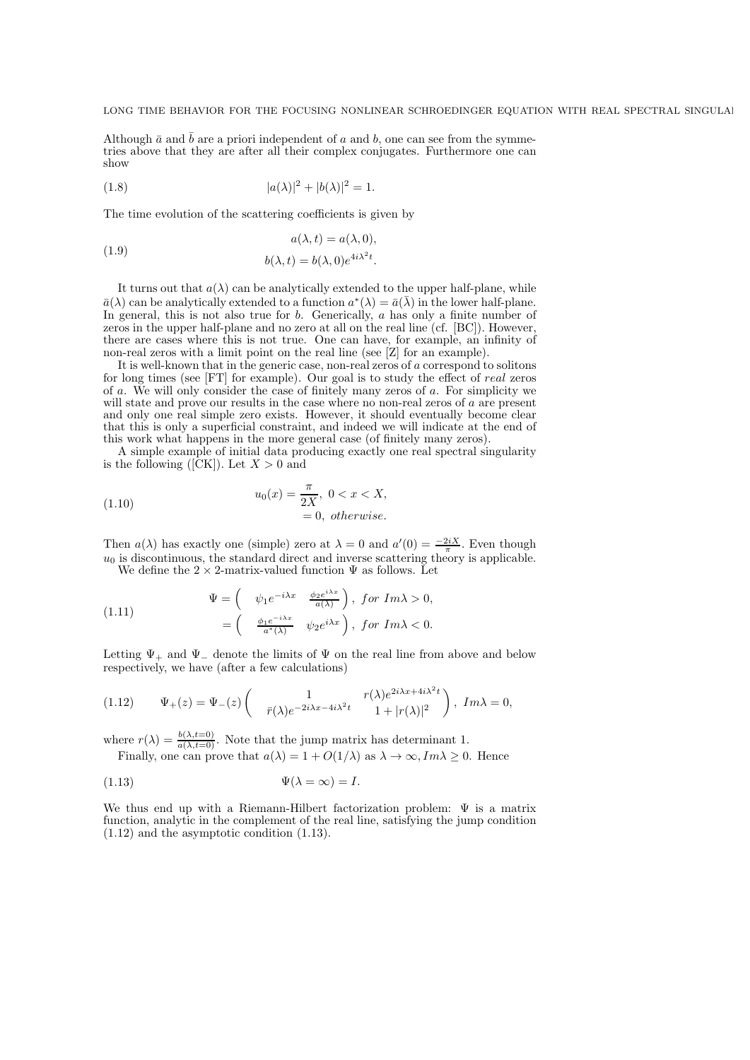Although  $\bar{a}$  and b are a priori independent of a and b, one can see from the symmetries above that they are after all their complex conjugates. Furthermore one can show

(1.8) 
$$
|a(\lambda)|^2 + |b(\lambda)|^2 = 1.
$$

The time evolution of the scattering coefficients is given by

(1.9) 
$$
a(\lambda, t) = a(\lambda, 0),
$$

$$
a(\lambda, t) = a(\lambda, 0) + a^{1/2}t
$$

$$
b(\lambda,t)=b(\lambda,0)e^{4i\lambda^2t}
$$

It turns out that  $a(\lambda)$  can be analytically extended to the upper half-plane, while  $\bar{a}(\lambda)$  can be analytically extended to a function  $a^*(\lambda) = \bar{a}(\bar{\lambda})$  in the lower half-plane. In general, this is not also true for b. Generically, a has only a finite number of zeros in the upper half-plane and no zero at all on the real line (cf. [BC]). However, there are cases where this is not true. One can have, for example, an infinity of non-real zeros with a limit point on the real line (see [Z] for an example).

.

It is well-known that in the generic case, non-real zeros of a correspond to solitons for long times (see [FT] for example). Our goal is to study the effect of real zeros of a. We will only consider the case of finitely many zeros of a. For simplicity we will state and prove our results in the case where no non-real zeros of a are present and only one real simple zero exists. However, it should eventually become clear that this is only a superficial constraint, and indeed we will indicate at the end of this work what happens in the more general case (of finitely many zeros).

A simple example of initial data producing exactly one real spectral singularity is the following ([CK]). Let  $X > 0$  and

(1.10) 
$$
u_0(x) = \frac{\pi}{2X}, \ 0 < x < X, \\
 = 0, \ \text{otherwise.}
$$

Then  $a(\lambda)$  has exactly one (simple) zero at  $\lambda = 0$  and  $a'(0) = \frac{-2iX}{\pi}$ . Even though  $u_0$  is discontinuous, the standard direct and inverse scattering theory is applicable. We define the  $2 \times 2$ -matrix-valued function  $\Psi$  as follows. Let

(1.11)  $\Psi = \begin{pmatrix} \psi_1 e^{-i\lambda x} & \frac{\phi_2 e^{i\lambda x}}{a(\lambda)} \end{pmatrix}, \text{ for } Im \lambda > 0,$  $=\begin{pmatrix} &\frac{\phi_1e^{-i\lambda x}}{a^*(\lambda)} & \psi_2e^{i\lambda x} \end{pmatrix}$ , for  $Im \lambda < 0$ .

Letting  $\Psi_+$  and  $\Psi_-$  denote the limits of  $\Psi$  on the real line from above and below respectively, we have (after a few calculations)

(1.12) 
$$
\Psi_{+}(z) = \Psi_{-}(z) \begin{pmatrix} 1 & r(\lambda)e^{2i\lambda x + 4i\lambda^{2}t} \\ \bar{r}(\lambda)e^{-2i\lambda x - 4i\lambda^{2}t} & 1 + |r(\lambda)|^{2} \end{pmatrix}, \ Im \lambda = 0,
$$

where  $r(\lambda) = \frac{b(\lambda, t=0)}{a(\lambda, t=0)}$ . Note that the jump matrix has determinant 1. Finally, one can prove that  $a(\lambda)=1+O(1/\lambda)$  as  $\lambda\to\infty$ ,  $Im \lambda\geq 0$ . Hence

$$
(1.13) \t\t\t \Psi(\lambda = \infty) = I.
$$

We thus end up with a Riemann-Hilbert factorization problem:  $\Psi$  is a matrix function, analytic in the complement of the real line, satisfying the jump condition (1.12) and the asymptotic condition (1.13).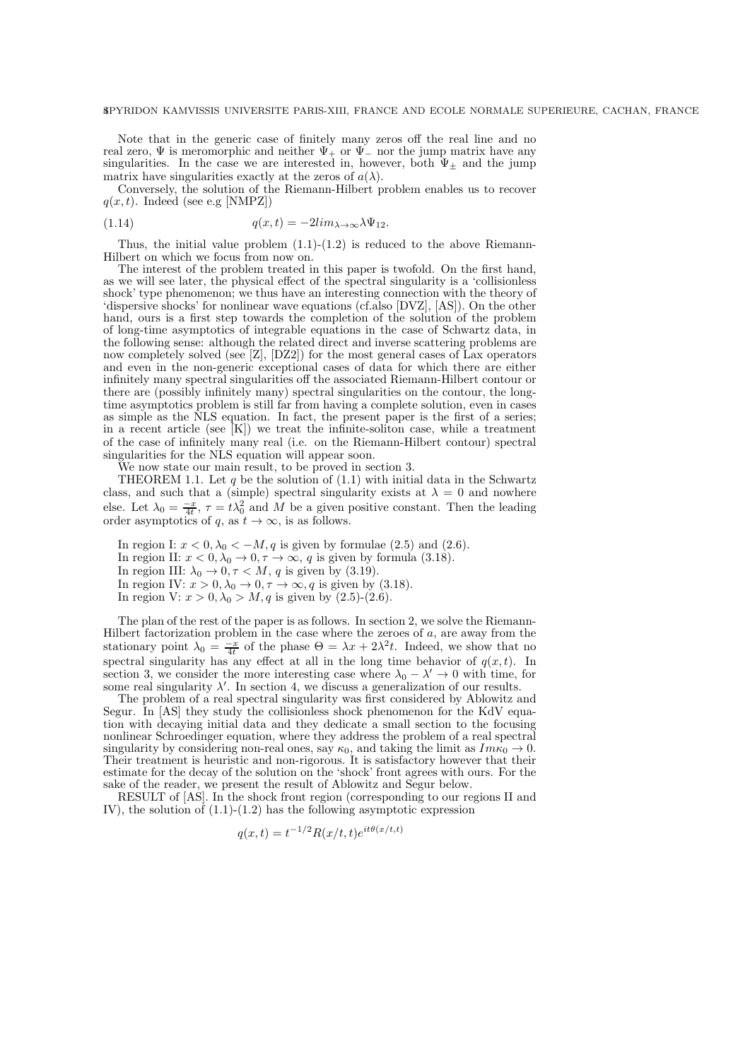Note that in the generic case of finitely many zeros off the real line and no real zero,  $\Psi$  is meromorphic and neither  $\Psi_+$  or  $\Psi_-$  nor the jump matrix have any singularities. In the case we are interested in, however, both  $\Psi_{\pm}$  and the jump matrix have singularities exactly at the zeros of  $a(\lambda)$ .

Conversely, the solution of the Riemann-Hilbert problem enables us to recover  $q(x, t)$ . Indeed (see e.g [NMPZ])

(1.14) 
$$
q(x,t) = -2\lim_{\lambda \to \infty} \lambda \Psi_{12}.
$$

Thus, the initial value problem  $(1.1)-(1.2)$  is reduced to the above Riemann-Hilbert on which we focus from now on.

The interest of the problem treated in this paper is twofold. On the first hand, as we will see later, the physical effect of the spectral singularity is a 'collisionless shock' type phenomenon; we thus have an interesting connection with the theory of 'dispersive shocks' for nonlinear wave equations (cf.also [DVZ], [AS]). On the other hand, ours is a first step towards the completion of the solution of the problem of long-time asymptotics of integrable equations in the case of Schwartz data, in the following sense: although the related direct and inverse scattering problems are now completely solved (see [Z], [DZ2]) for the most general cases of Lax operators and even in the non-generic exceptional cases of data for which there are either infinitely many spectral singularities off the associated Riemann-Hilbert contour or there are (possibly infinitely many) spectral singularities on the contour, the longtime asymptotics problem is still far from having a complete solution, even in cases as simple as the NLS equation. In fact, the present paper is the first of a series; in a recent article (see [K]) we treat the infinite-soliton case, while a treatment of the case of infinitely many real (i.e. on the Riemann-Hilbert contour) spectral singularities for the NLS equation will appear soon.

We now state our main result, to be proved in section 3.

THEOREM 1.1. Let q be the solution of  $(1.1)$  with initial data in the Schwartz class, and such that a (simple) spectral singularity exists at  $\lambda = 0$  and nowhere else. Let  $\lambda_0 = \frac{-x}{4t}$ ,  $\tau = t\lambda_0^2$  and M be a given positive constant. Then the leading order asymptotics of q, as  $t \to \infty$ , is as follows.

- In region I:  $x < 0, \lambda_0 < -M, q$  is given by formulae (2.5) and (2.6). In region II:  $x < 0, \lambda_0 \to 0, \tau \to \infty$ , q is given by formula (3.18). In region III:  $\lambda_0 \to 0, \tau \lt M, q$  is given by (3.19). In region IV:  $x > 0, \lambda_0 \to 0, \tau \to \infty, q$  is given by (3.18).
- In region V:  $x > 0, \lambda_0 > M, q$  is given by  $(2.5)-(2.6)$ .

The plan of the rest of the paper is as follows. In section 2, we solve the Riemann-Hilbert factorization problem in the case where the zeroes of  $a$ , are away from the stationary point  $\lambda_0 = \frac{-x}{4t}$  of the phase  $\Theta = \lambda x + 2\lambda^2 t$ . Indeed, we show that no spectral singularity has any effect at all in the long time behavior of  $q(x, t)$ . In section 3, we consider the more interesting case where  $\lambda_0 - \lambda' \rightarrow 0$  with time, for some real singularity  $\lambda'$ . In section 4, we discuss a generalization of our results.

The problem of a real spectral singularity was first considered by Ablowitz and Segur. In [AS] they study the collisionless shock phenomenon for the KdV equation with decaying initial data and they dedicate a small section to the focusing nonlinear Schroedinger equation, where they address the problem of a real spectral singularity by considering non-real ones, say  $\kappa_0$ , and taking the limit as  $Im \kappa_0 \rightarrow 0$ . Their treatment is heuristic and non-rigorous. It is satisfactory however that their estimate for the decay of the solution on the 'shock' front agrees with ours. For the sake of the reader, we present the result of Ablowitz and Segur below.

RESULT of [AS]. In the shock front region (corresponding to our regions II and IV), the solution of  $(1.1)-(1.2)$  has the following asymptotic expression

$$
q(x,t) = t^{-1/2} R(x/t, t) e^{it\theta(x/t, t)}
$$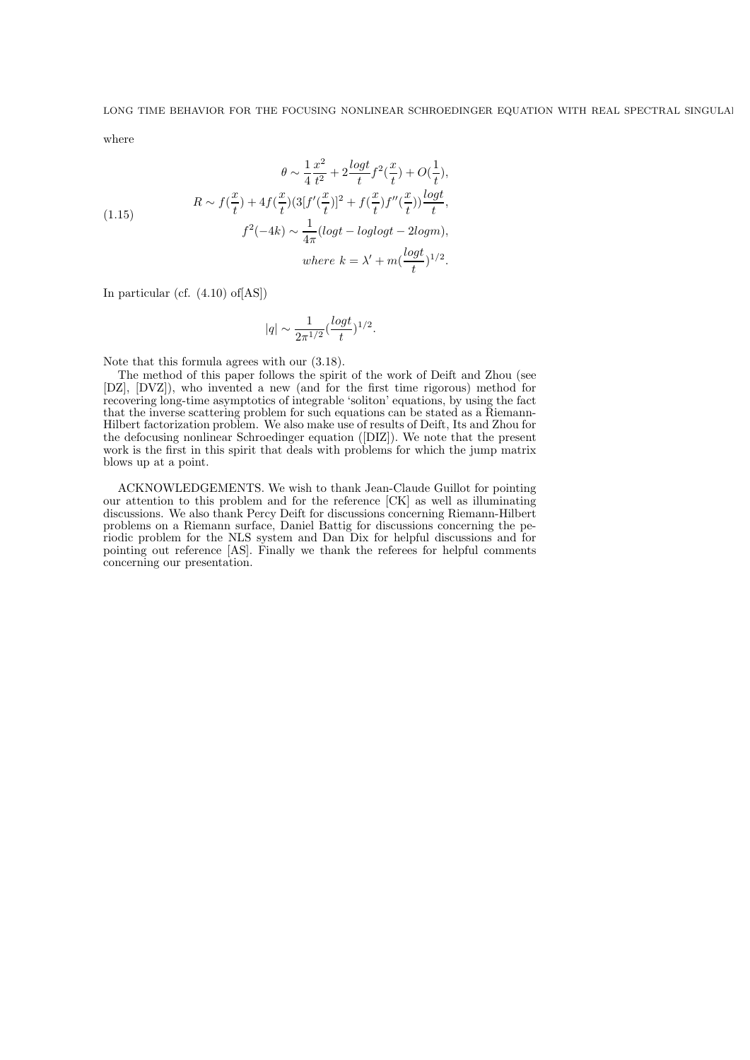where

(1.15)  
\n
$$
\theta \sim \frac{1}{4} \frac{x^2}{t^2} + 2 \frac{\log t}{t} f^2(\frac{x}{t}) + O(\frac{1}{t}),
$$
\n
$$
R \sim f(\frac{x}{t}) + 4f(\frac{x}{t})(3[f'(\frac{x}{t})]^2 + f(\frac{x}{t})f''(\frac{x}{t}))\frac{\log t}{t},
$$
\n
$$
f^2(-4k) \sim \frac{1}{4\pi}(\log t - \log \log t - 2\log m),
$$
\n
$$
where \ k = \lambda' + m(\frac{\log t}{t})^{1/2}.
$$

In particular (cf. (4.10) of[AS])

$$
|q|\sim \frac{1}{2\pi^{1/2}}(\frac{logt}{t})^{1/2}.
$$

Note that this formula agrees with our (3.18).

The method of this paper follows the spirit of the work of Deift and Zhou (see [DZ], [DVZ]), who invented a new (and for the first time rigorous) method for recovering long-time asymptotics of integrable 'soliton' equations, by using the fact that the inverse scattering problem for such equations can be stated as a Riemann-Hilbert factorization problem. We also make use of results of Deift, Its and Zhou for the defocusing nonlinear Schroedinger equation ([DIZ]). We note that the present work is the first in this spirit that deals with problems for which the jump matrix blows up at a point.

ACKNOWLEDGEMENTS. We wish to thank Jean-Claude Guillot for pointing our attention to this problem and for the reference [CK] as well as illuminating discussions. We also thank Percy Deift for discussions concerning Riemann-Hilbert problems on a Riemann surface, Daniel Battig for discussions concerning the periodic problem for the NLS system and Dan Dix for helpful discussions and for pointing out reference [AS]. Finally we thank the referees for helpful comments concerning our presentation.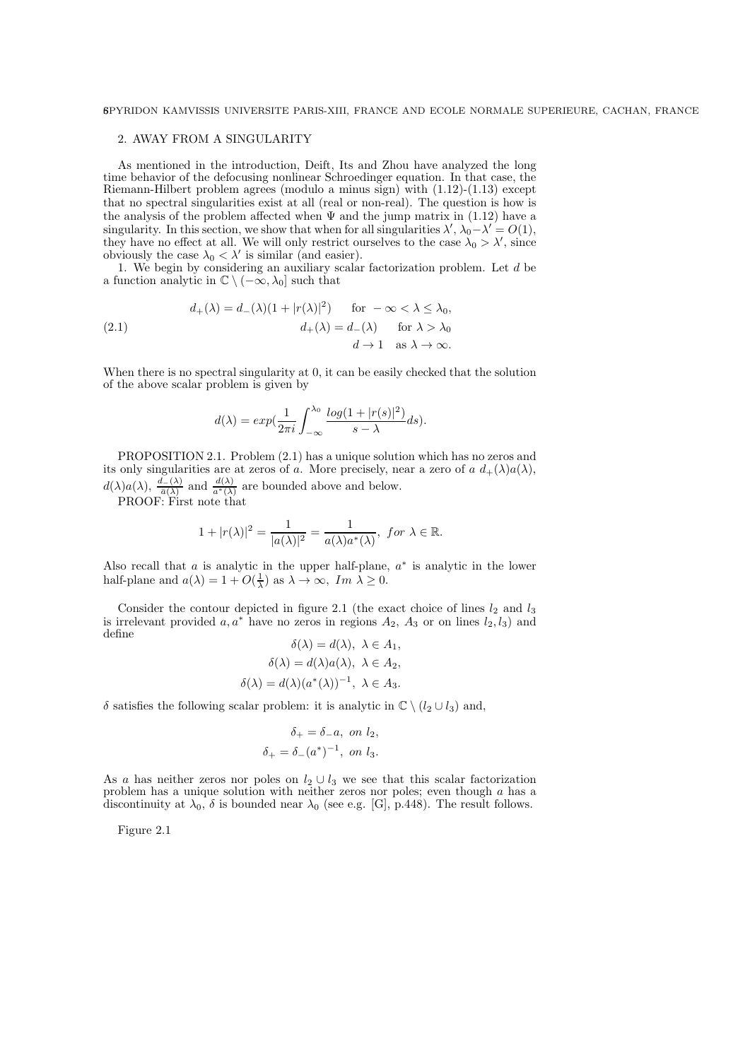## 2. AWAY FROM A SINGULARITY

As mentioned in the introduction, Deift, Its and Zhou have analyzed the long time behavior of the defocusing nonlinear Schroedinger equation. In that case, the Riemann-Hilbert problem agrees (modulo a minus sign) with (1.12)-(1.13) except that no spectral singularities exist at all (real or non-real). The question is how is the analysis of the problem affected when  $\Psi$  and the jump matrix in (1.12) have a singularity. In this section, we show that when for all singularities  $\lambda', \lambda_0 - \lambda' = O(1)$ , they have no effect at all. We will only restrict ourselves to the case  $\lambda_0 > \lambda'$ , since obviously the case  $\lambda_0 < \lambda'$  is similar (and easier).

1. We begin by considering an auxiliary scalar factorization problem. Let d be a function analytic in  $\mathbb{C} \setminus (-\infty, \lambda_0]$  such that

(2.1) 
$$
d_{+}(\lambda) = d_{-}(\lambda)(1 + |r(\lambda)|^{2}) \quad \text{for } -\infty < \lambda \leq \lambda_{0},
$$

$$
d_{+}(\lambda) = d_{-}(\lambda) \quad \text{for } \lambda > \lambda_{0}
$$

$$
d \to 1 \quad \text{as } \lambda \to \infty.
$$

When there is no spectral singularity at 0, it can be easily checked that the solution of the above scalar problem is given by

$$
d(\lambda) = exp(\frac{1}{2\pi i} \int_{-\infty}^{\lambda_0} \frac{\log(1+|r(s)|^2)}{s-\lambda} ds).
$$

PROPOSITION 2.1. Problem (2.1) has a unique solution which has no zeros and its only singularities are at zeros of a. More precisely, near a zero of a  $d_{+}(\lambda)a(\lambda)$ ,  $d(\lambda) a(\lambda)$ ,  $\frac{d_{-}(\lambda)}{\bar{a}(\lambda)}$  and  $\frac{d(\lambda)}{a^*(\lambda)}$  are bounded above and below.

PROOF: First note that

$$
1+|r(\lambda)|^2=\frac{1}{|a(\lambda)|^2}=\frac{1}{a(\lambda)a^*(\lambda)}, \text{ for } \lambda \in \mathbb{R}.
$$

Also recall that  $a$  is analytic in the upper half-plane,  $a^*$  is analytic in the lower half-plane and  $a(\lambda) = 1 + O(\frac{1}{\lambda})$  as  $\lambda \to \infty$ , Im  $\lambda \ge 0$ .

Consider the contour depicted in figure 2.1 (the exact choice of lines  $l_2$  and  $l_3$ is irrelevant provided  $a, a^*$  have no zeros in regions  $A_2$ ,  $A_3$  or on lines  $l_2, l_3$ ) and define  $\delta(\lambda) = d(\lambda)$ ,  $\lambda \in \Lambda$ 

$$
\delta(\lambda) = a(\lambda), \ \lambda \in A_1,
$$
  

$$
\delta(\lambda) = d(\lambda)a(\lambda), \ \lambda \in A_2,
$$
  

$$
\delta(\lambda) = d(\lambda)(a^*(\lambda))^{-1}, \ \lambda \in A_3.
$$

 $\delta$  satisfies the following scalar problem: it is analytic in  $\mathbb{C} \setminus (l_2 \cup l_3)$  and,

$$
\delta_+ = \delta_- a, \text{ on } l_2,
$$
  
 $\delta_+ = \delta_- (a^*)^{-1}, \text{ on } l_3.$ 

As a has neither zeros nor poles on  $l_2 \cup l_3$  we see that this scalar factorization problem has a unique solution with neither zeros nor poles; even though a has a discontinuity at  $\lambda_0$ ,  $\delta$  is bounded near  $\lambda_0$  (see e.g. [G], p.448). The result follows.

Figure 2.1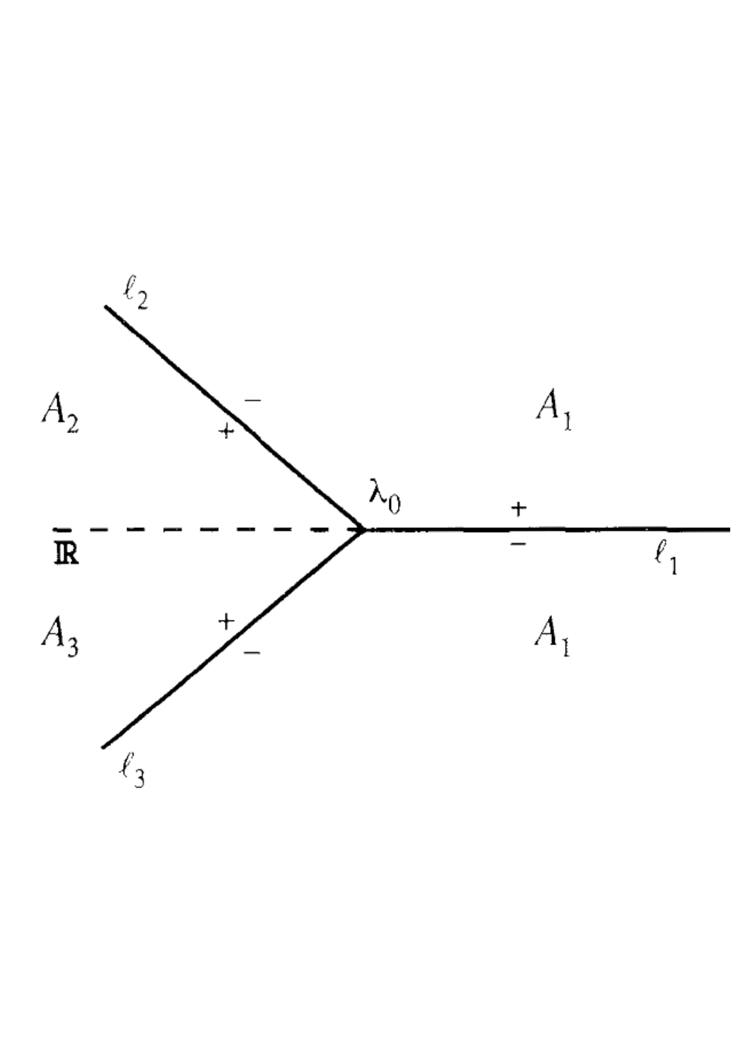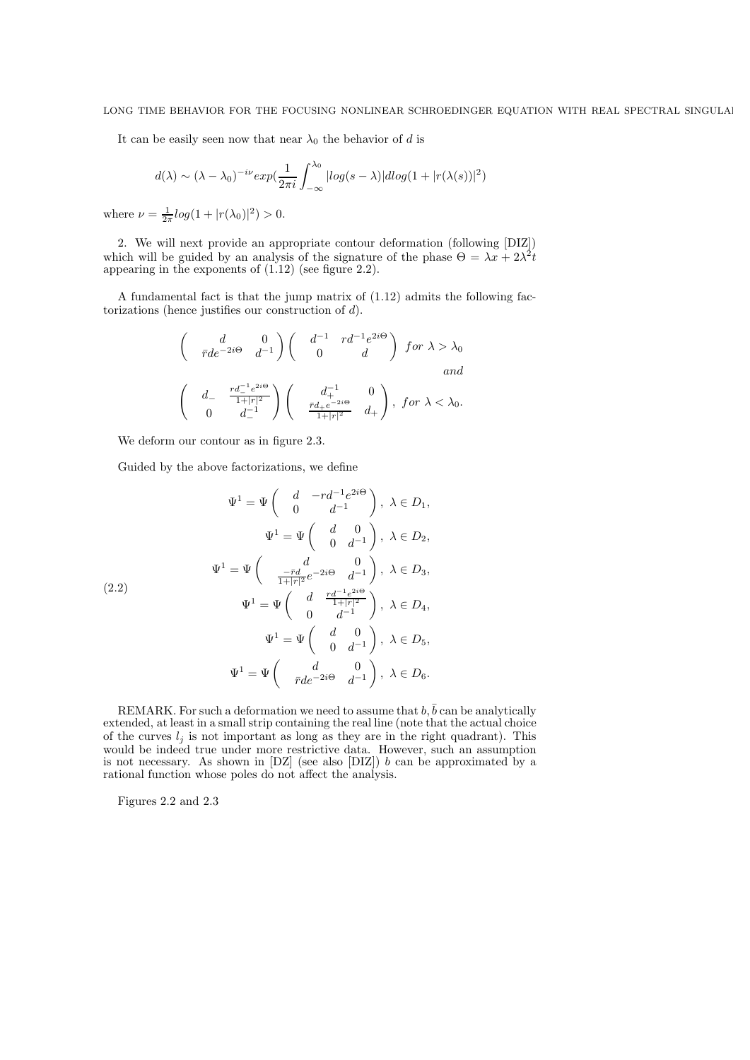It can be easily seen now that near  $\lambda_0$  the behavior of d is

$$
d(\lambda) \sim (\lambda - \lambda_0)^{-i\nu} exp(\frac{1}{2\pi i} \int_{-\infty}^{\lambda_0} |log(s - \lambda)| dlog(1 + |r(\lambda(s))|^2)
$$

where  $\nu = \frac{1}{2\pi} log(1 + |r(\lambda_0)|^2) > 0.$ 

2. We will next provide an appropriate contour deformation (following [DIZ]) which will be guided by an analysis of the signature of the phase  $\Theta = \lambda x + 2\lambda^2 t$ appearing in the exponents of (1.12) (see figure 2.2).

A fundamental fact is that the jump matrix of (1.12) admits the following factorizations (hence justifies our construction of d).

$$
\begin{pmatrix}\n d & 0 \\
 \bar{r}de^{-2i\Theta} & d^{-1}\n\end{pmatrix}\n\begin{pmatrix}\n d^{-1} & r d^{-1}e^{2i\Theta} \\
 0 & d\n\end{pmatrix}\n\quad for \lambda > \lambda_0\n\quad and\n\quad and\n\begin{pmatrix}\n d_{-} & \frac{r d^{-1}e^{2i\Theta}}{1+|r|^2} \\
 0 & d_{-}^{-1}\n\end{pmatrix}\n\begin{pmatrix}\n d_{+}^{-1} & 0 \\
 \frac{\bar{r} d_{+}e^{-2i\Theta}}{1+|r|^2} & d_{+}\n\end{pmatrix},\n\quad for \lambda < \lambda_0.
$$

We deform our contour as in figure 2.3.

Guided by the above factorizations, we define

$$
\Psi^{1} = \Psi \begin{pmatrix} d & -rd^{-1}e^{2i\Theta} \\ 0 & d^{-1} \end{pmatrix}, \ \lambda \in D_{1},
$$

$$
\Psi^{1} = \Psi \begin{pmatrix} d & 0 \\ 0 & d^{-1} \end{pmatrix}, \ \lambda \in D_{2},
$$

$$
\Psi^{1} = \Psi \begin{pmatrix} d & 0 \\ \frac{-\bar{r}d}{1+|r|^{2}}e^{-2i\Theta} & d^{-1} \end{pmatrix}, \ \lambda \in D_{3},
$$

$$
\Psi^{1} = \Psi \begin{pmatrix} d & \frac{rd^{-1}e^{2i\Theta}}{1+|r|^{2}} \\ 0 & d^{-1} \end{pmatrix}, \ \lambda \in D_{4},
$$

$$
\Psi^{1} = \Psi \begin{pmatrix} d & 0 \\ 0 & d^{-1} \end{pmatrix}, \ \lambda \in D_{5},
$$

$$
\Psi^{1} = \Psi \begin{pmatrix} d & 0 \\ \bar{r}de^{-2i\Theta} & d^{-1} \end{pmatrix}, \ \lambda \in D_{6}.
$$

REMARK. For such a deformation we need to assume that  $b, \bar{b}$  can be analytically extended, at least in a small strip containing the real line (note that the actual choice of the curves  $l_i$  is not important as long as they are in the right quadrant). This would be indeed true under more restrictive data. However, such an assumption is not necessary. As shown in [DZ] (see also [DIZ]) b can be approximated by a rational function whose poles do not affect the analysis.

Figures 2.2 and 2.3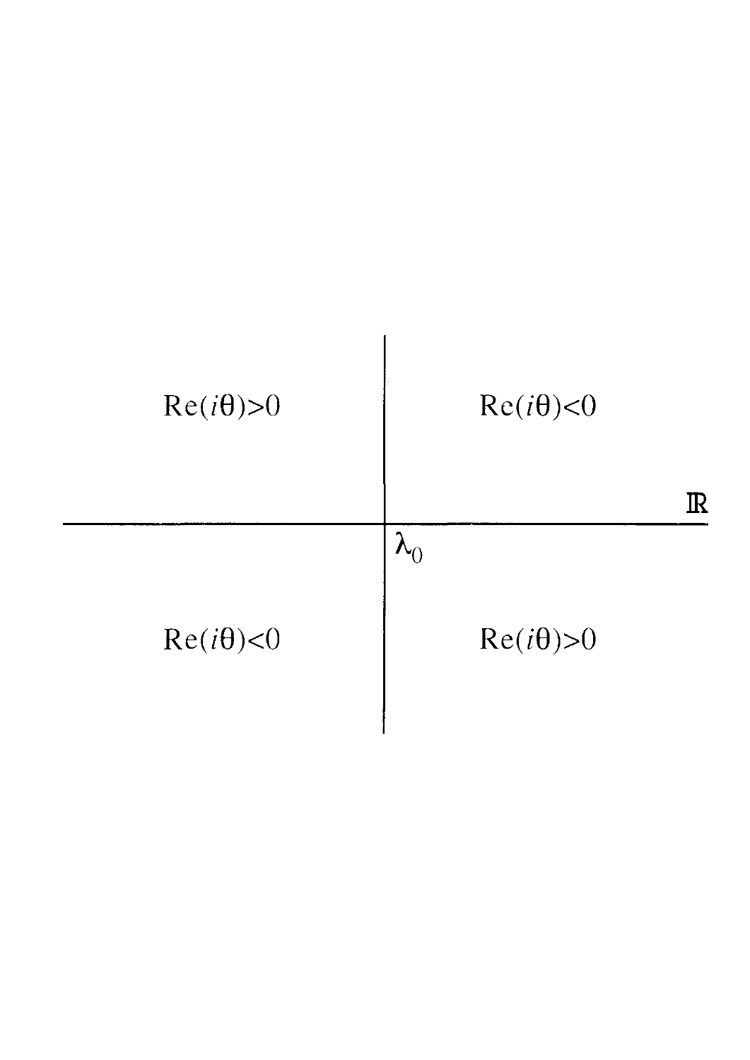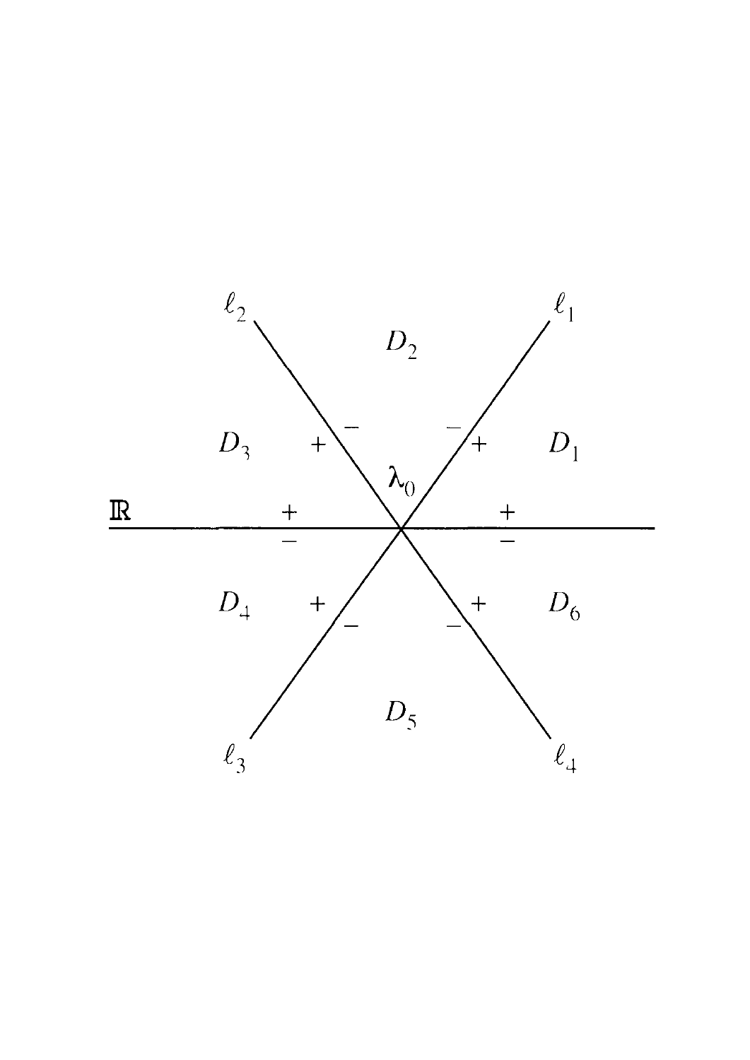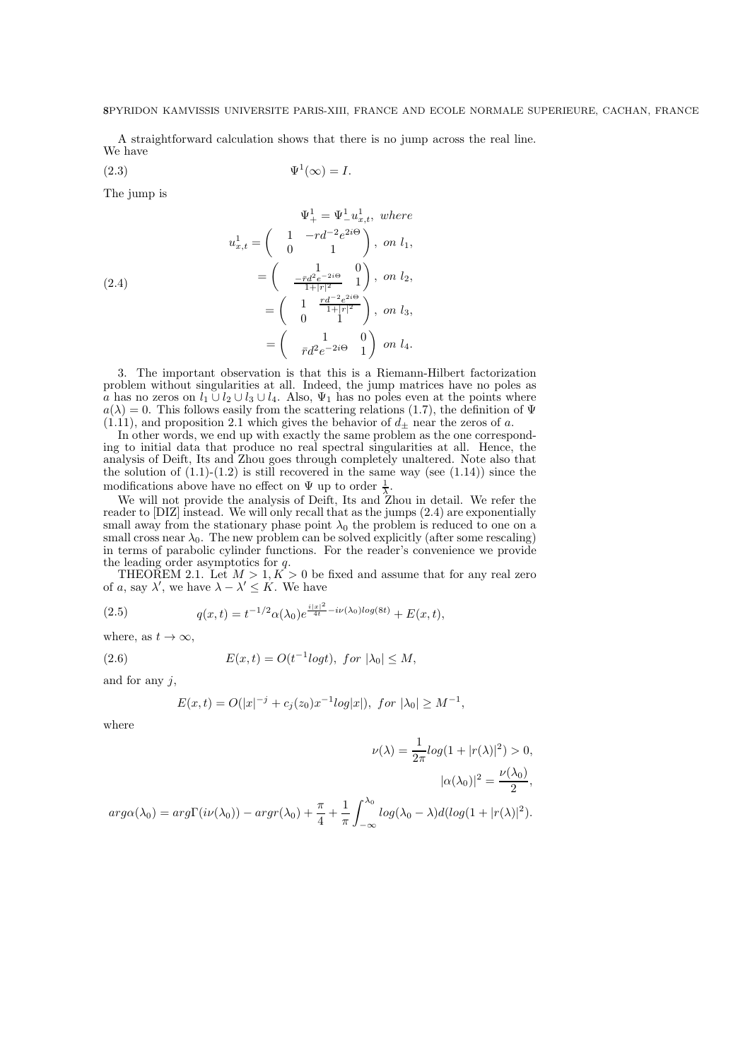A straightforward calculation shows that there is no jump across the real line. We have

$$
\Psi^1(\infty) = I.
$$

The jump is

(2.4)  
\n
$$
\Psi_{+}^{1} = \Psi_{-}^{1} u_{x,t}^{1}, \text{ where}
$$
\n
$$
u_{x,t}^{1} = \begin{pmatrix} 1 & -r d^{-2} e^{2i\Theta} \\ 0 & 1 \end{pmatrix}, \text{ on } l_{1},
$$
\n
$$
= \begin{pmatrix} 1 & 0 \\ \frac{-\bar{r} d^{2} e^{-2i\Theta}}{1+|r|^{2}} & 1 \end{pmatrix}, \text{ on } l_{2},
$$
\n
$$
= \begin{pmatrix} 1 & \frac{r d^{-2} e^{2i\Theta}}{1+|r|^{2}} \\ 0 & 1 \end{pmatrix}, \text{ on } l_{3},
$$
\n
$$
= \begin{pmatrix} 1 & 0 \\ \bar{r} d^{2} e^{-2i\Theta} & 1 \end{pmatrix} \text{ on } l_{4}.
$$

3. The important observation is that this is a Riemann-Hilbert factorization a has no zeros on  $l_1 \cup l_2 \cup l_3 \cup l_4$ . Also,  $\Psi_1$  has no poles even at the points where  $a(\lambda) = 0$ . This follows easily from the scattering relations (1.7), the definition of  $\Psi$  $(1.11)$ , and proposition 2.1 which gives the behavior of  $d_{+}$  near the zeros of a.

In other words, we end up with exactly the same problem as the one corresponding to initial data that produce no real spectral singularities at all. Hence, the analysis of Deift, Its and Zhou goes through completely unaltered. Note also that the solution of  $(1.1)-(1.2)$  is still recovered in the same way (see  $(1.14)$ ) since the modifications above have no effect on  $\Psi$  up to order  $\frac{1}{\lambda}$ .

We will not provide the analysis of Deift, Its and Zhou in detail. We refer the reader to [DIZ] instead. We will only recall that as the jumps (2.4) are exponentially small away from the stationary phase point  $\lambda_0$  the problem is reduced to one on a small cross near  $\lambda_0$ . The new problem can be solved explicitly (after some rescaling) in terms of parabolic cylinder functions. For the reader's convenience we provide

the leading order asymptotics for q.<br>THEOREM 2.1. Let  $M > 1, K > 0$  be fixed and assume that for any real zero of a, say  $\lambda'$ , we have  $\lambda - \lambda' \leq K$ . We have

(2.5) 
$$
q(x,t) = t^{-1/2} \alpha(\lambda_0) e^{\frac{i|x|^2}{4t} - i\nu(\lambda_0)log(8t)} + E(x,t),
$$

where, as  $t \to \infty$ .

$$
E(x,t) = O(t^{-1}log t), \text{ for } |\lambda_0| \le M,
$$

and for any  $i$ ,

$$
E(x,t) = O(|x|^{-j} + c_j(z_0)x^{-1}log|x|), \text{ for } |\lambda_0| \ge M^{-1},
$$

where

 $(2.6)$ 

$$
\nu(\lambda) = \frac{1}{2\pi} log(1 + |r(\lambda)|^2) > 0,
$$
  

$$
|\alpha(\lambda_0)|^2 = \frac{\nu(\lambda_0)}{2},
$$
  

$$
arg \alpha(\lambda_0) = arg \Gamma(i\nu(\lambda_0)) - arg r(\lambda_0) + \frac{\pi}{4} + \frac{1}{\pi} \int_{-\infty}^{\lambda_0} log(\lambda_0 - \lambda) d(log(1 + |r(\lambda)|^2).
$$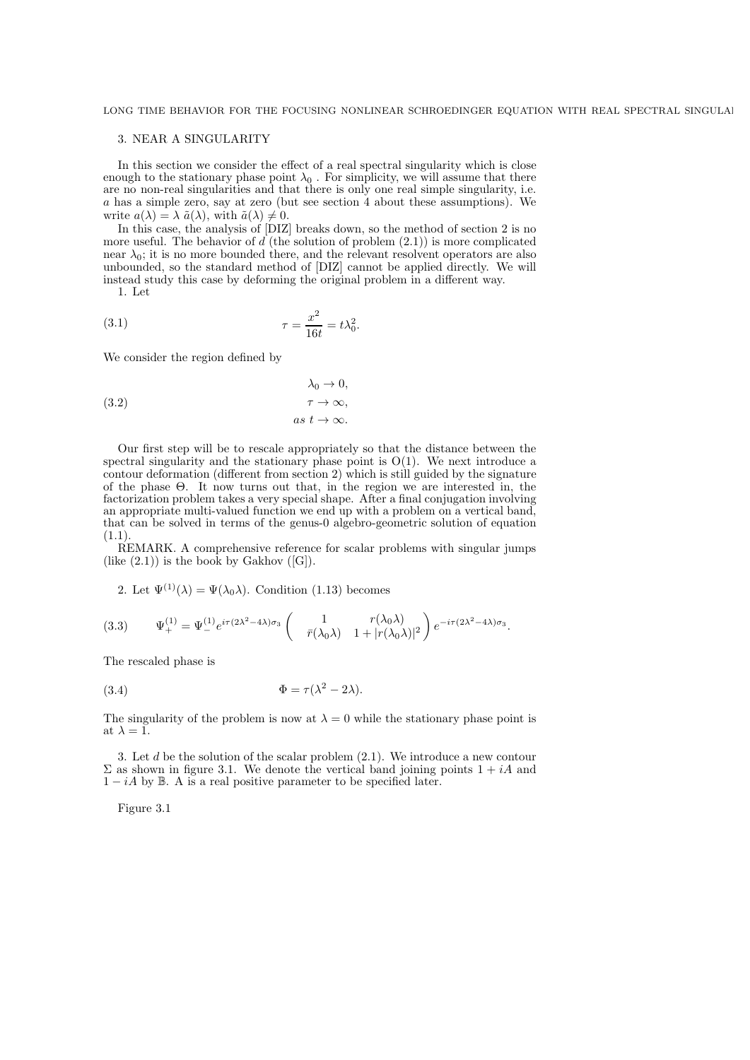#### 3. NEAR A SINGULARITY

In this section we consider the effect of a real spectral singularity which is close enough to the stationary phase point  $\lambda_0$  . For simplicity, we will assume that there are no non-real singularities and that there is only one real simple singularity, i.e. a has a simple zero, say at zero (but see section 4 about these assumptions). We write  $a(\lambda) = \lambda \tilde{a}(\lambda)$ , with  $\tilde{a}(\lambda) \neq 0$ .

In this case, the analysis of [DIZ] breaks down, so the method of section 2 is no more useful. The behavior of  $d$  (the solution of problem  $(2.1)$ ) is more complicated near  $\lambda_0$ ; it is no more bounded there, and the relevant resolvent operators are also unbounded, so the standard method of [DIZ] cannot be applied directly. We will instead study this case by deforming the original problem in a different way.

1. Let

(3.1) 
$$
\tau = \frac{x^2}{16t} = t\lambda_0^2.
$$

We consider the region defined by

(3.2) 
$$
\begin{aligned}\n\lambda_0 \to 0, \\
\tau \to \infty, \\
as \ t \to \infty.\n\end{aligned}
$$

Our first step will be to rescale appropriately so that the distance between the spectral singularity and the stationary phase point is  $O(1)$ . We next introduce a contour deformation (different from section 2) which is still guided by the signature of the phase Θ. It now turns out that, in the region we are interested in, the factorization problem takes a very special shape. After a final conjugation involving an appropriate multi-valued function we end up with a problem on a vertical band, that can be solved in terms of the genus-0 algebro-geometric solution of equation  $(1.1)$ .

REMARK. A comprehensive reference for scalar problems with singular jumps (like  $(2.1)$ ) is the book by Gakhov  $([G])$ .

2. Let  $\Psi^{(1)}(\lambda) = \Psi(\lambda_0 \lambda)$ . Condition (1.13) becomes

$$
(3.3) \qquad \Psi_{+}^{(1)} = \Psi_{-}^{(1)} e^{i\tau (2\lambda^2 - 4\lambda)\sigma_3} \begin{pmatrix} 1 & r(\lambda_0 \lambda) \\ \bar{r}(\lambda_0 \lambda) & 1 + |r(\lambda_0 \lambda)|^2 \end{pmatrix} e^{-i\tau (2\lambda^2 - 4\lambda)\sigma_3}.
$$

The rescaled phase is

$$
\Phi = \tau(\lambda^2 - 2\lambda).
$$

The singularity of the problem is now at  $\lambda = 0$  while the stationary phase point is at  $\lambda = \overline{1}$ .

3. Let d be the solution of the scalar problem (2.1). We introduce a new contour  $\Sigma$  as shown in figure 3.1. We denote the vertical band joining points  $1 + iA$  and  $1 - iA$  by B. A is a real positive parameter to be specified later.

Figure 3.1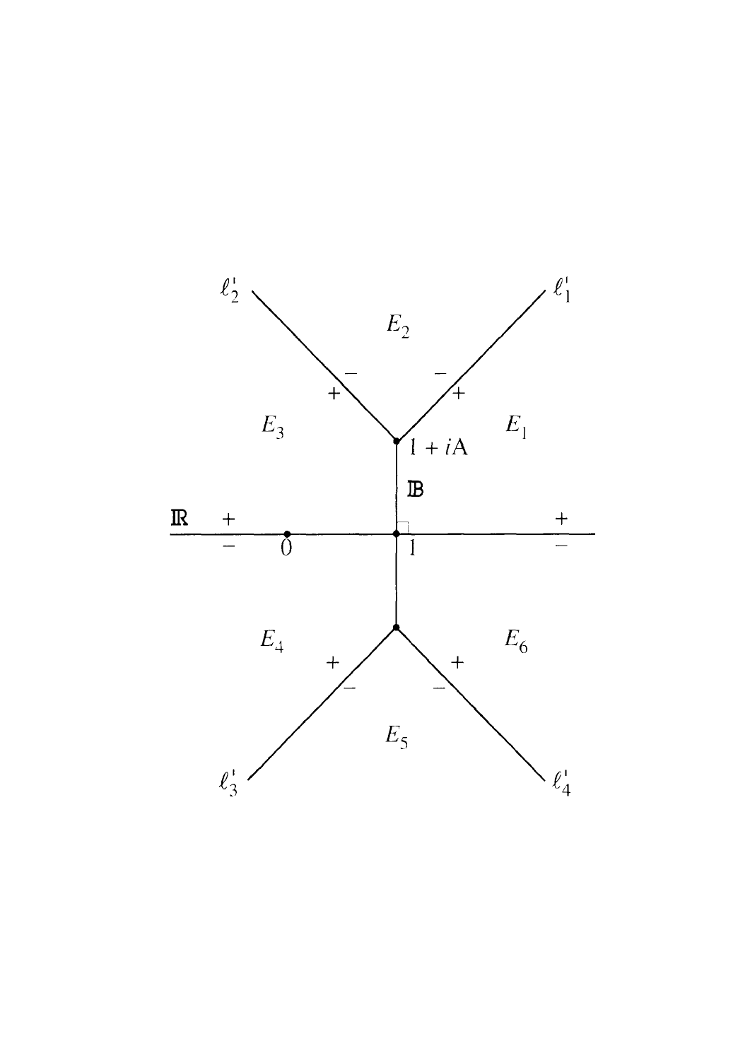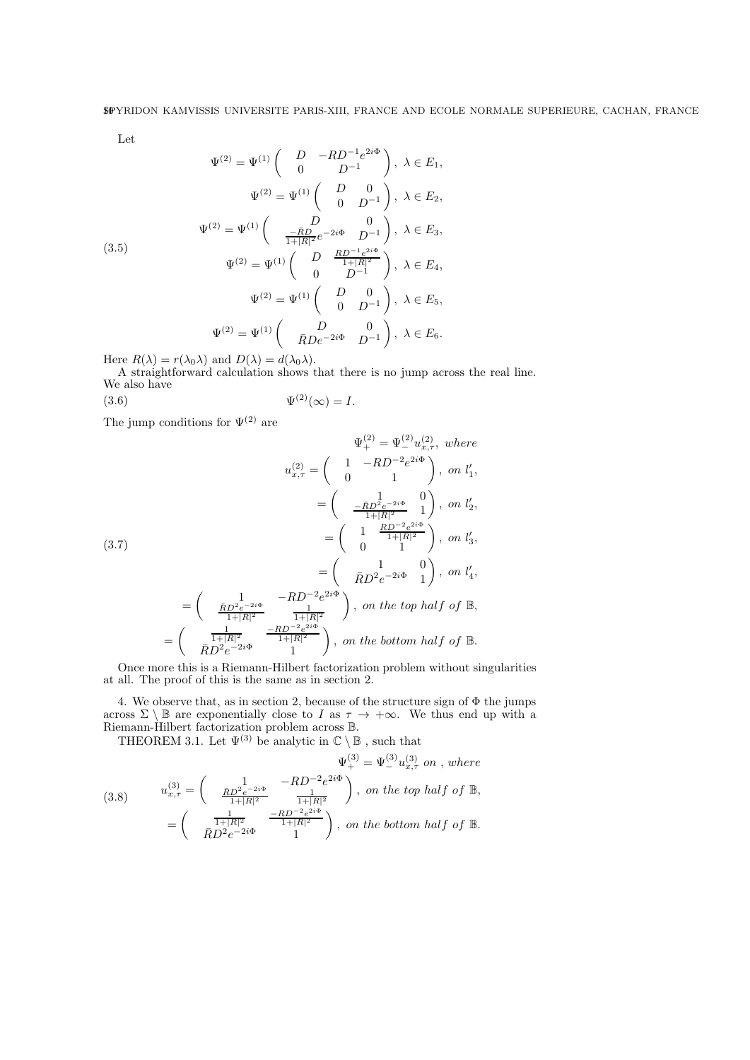Let

(3.5)  
\n
$$
\Psi^{(2)} = \Psi^{(1)} \begin{pmatrix} D & -RD^{-1}e^{2i\Phi} \\ 0 & D^{-1} \end{pmatrix}, \ \lambda \in E_1,
$$
\n
$$
\Psi^{(2)} = \Psi^{(1)} \begin{pmatrix} D & 0 \\ 0 & D^{-1} \end{pmatrix}, \ \lambda \in E_2,
$$
\n
$$
\Psi^{(2)} = \Psi^{(1)} \begin{pmatrix} D & 0 \\ \frac{-\bar{R}D}{1+|R|^2}e^{-2i\Phi} & D^{-1} \end{pmatrix}, \ \lambda \in E_3,
$$
\n
$$
\Psi^{(2)} = \Psi^{(1)} \begin{pmatrix} D & \frac{RD^{-1}e^{2i\Phi}}{1+|R|^2} \\ 0 & D^{-1} \end{pmatrix}, \ \lambda \in E_4,
$$
\n
$$
\Psi^{(2)} = \Psi^{(1)} \begin{pmatrix} D & 0 \\ 0 & D^{-1} \end{pmatrix}, \ \lambda \in E_5,
$$
\n
$$
\Psi^{(2)} = \Psi^{(1)} \begin{pmatrix} D & 0 \\ \bar{R}De^{-2i\Phi} & D^{-1} \end{pmatrix}, \ \lambda \in E_6.
$$
\nHence,  $P(\lambda)$ , and  $P(\lambda)$ , and  $\lambda(\lambda)$ .

Here  $R(\lambda) = r(\lambda_0 \lambda)$  and  $D(\lambda) = d(\lambda_0 \lambda)$ .

A straightforward calculation shows that there is no jump across the real line. We also have

$$
(3.6) \t\t\t \Psi^{(2)}(\infty) = I.
$$

The jump conditions for  $\Psi^{(2)}$  are

$$
\Psi_{+}^{(2)} = \Psi_{-}^{(2)} u_{x,\tau}^{(2)}, \text{ where}
$$
\n
$$
u_{x,\tau}^{(2)} = \begin{pmatrix} 1 & -RD^{-2}e^{2i\Phi} \\ 0 & 1 \end{pmatrix}, \text{ on } l_{1}',
$$
\n
$$
= \begin{pmatrix} \frac{1}{-RD^{2}e^{-2i\Phi}} & 1 \\ \frac{-\bar{R}D^{2}e^{-2i\Phi}}{1+|R|^{2}} & 1 \end{pmatrix}, \text{ on } l_{2}',
$$
\n
$$
= \begin{pmatrix} 1 & \frac{RD^{-2}e^{2i\Phi}}{1+|R|^{2}} \\ 0 & 1 \end{pmatrix}, \text{ on } l_{3}',
$$
\n
$$
= \begin{pmatrix} 1 & 0 \\ \bar{R}D^{2}e^{-2i\Phi} & 1 \end{pmatrix}, \text{ on } l_{4}',
$$
\n
$$
= \begin{pmatrix} \frac{1}{\bar{R}D^{2}e^{-2i\Phi}} & \frac{1}{1+|R|^{2}} \\ \frac{1}{\bar{R}D^{2}e^{-2i\Phi}} & \frac{1}{1+|R|^{2}} \end{pmatrix}, \text{ on the top half of } \mathbb{B},
$$
\n
$$
= \begin{pmatrix} \frac{1}{\bar{R}D^{2}e^{-2i\Phi}} & \frac{1}{1+|R|^{2}} \\ \bar{R}D^{2}e^{-2i\Phi} & 1 \end{pmatrix}, \text{ on the bottom half of } \mathbb{B}.
$$

Once more this is a Riemann-Hilbert factorization problem without singularities at all. The proof of this is the same as in section 2.

4. We observe that, as in section 2, because of the structure sign of  $\Phi$  the jumps across  $\Sigma \setminus \mathbb{B}$  are exponentially close to I as  $\tau \to +\infty$ . We thus end up with a Riemann-Hilbert factorization problem across B.

THEOREM 3.1. Let  $\Psi^{(3)}$  be analytic in  $\mathbb{C} \setminus \mathbb{B}$ , such that

(3.8) 
$$
\Psi_{+}^{(3)} = \Psi_{-}^{(3)} u_{x,\tau}^{(3)} \text{ on, where}
$$
\n
$$
u_{x,\tau}^{(3)} = \begin{pmatrix} 1 & -RD^{-2} e^{2i\Phi} \\ \frac{\bar{R}D^{2}e^{-2i\Phi}}{1+|R|^{2}} & \frac{1}{1+|R|^{2}} \end{pmatrix}, \text{ on the top half of } \mathbb{B},
$$
\n
$$
= \begin{pmatrix} \frac{1}{1+|R|^{2}} & \frac{-RD^{-2}e^{2i\Phi}}{1+|R|^{2}} \\ \bar{R}D^{2}e^{-2i\Phi} & 1 \end{pmatrix}, \text{ on the bottom half of } \mathbb{B}.
$$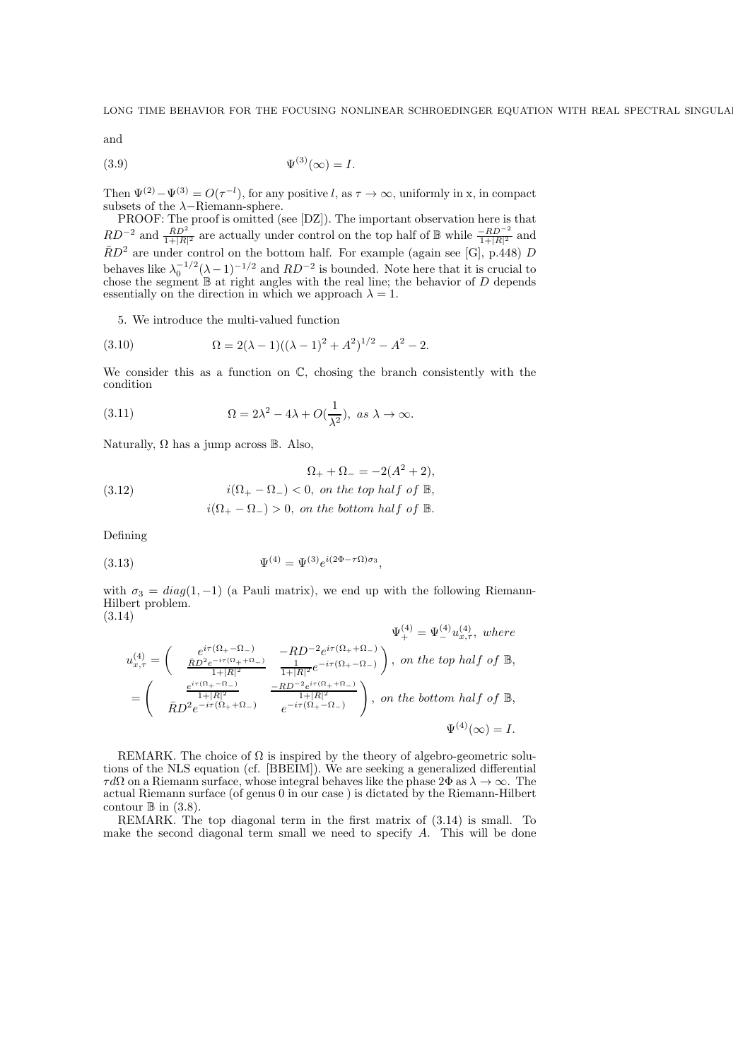and

$$
(3.9) \t\t \t\t \Psi^{(3)}(\infty) = I.
$$

Then  $\Psi^{(2)} - \Psi^{(3)} = O(\tau^{-l})$ , for any positive l, as  $\tau \to \infty$ , uniformly in x, in compact subsets of the  $\lambda$ -Riemann-sphere.

PROOF: The proof is omitted (see [DZ]). The important observation here is that  $RD^{-2}$  and  $\frac{\bar{R}D^2}{1+|R|^2}$  are actually under control on the top half of B while  $\frac{-RD^{-2}}{1+|R|^2}$  and  $\bar{R}D^2$  are under control on the bottom half. For example (again see [G], p.448) D behaves like  $\lambda_0^{-1/2} (\lambda - 1)^{-1/2}$  and  $RD^{-2}$  is bounded. Note here that it is crucial to chose the segment  $\mathbb B$  at right angles with the real line; the behavior of D depends essentially on the direction in which we approach  $\lambda = 1$ .

5. We introduce the multi-valued function

(3.10) 
$$
\Omega = 2(\lambda - 1)((\lambda - 1)^2 + A^2)^{1/2} - A^2 - 2.
$$

We consider this as a function on  $\mathbb{C}$ , chosing the branch consistently with the condition

(3.11) 
$$
\Omega = 2\lambda^2 - 4\lambda + O(\frac{1}{\lambda^2}), \text{ as } \lambda \to \infty.
$$

Naturally,  $\Omega$  has a jump across  $\mathbb B$ . Also,

(3.12) 
$$
\Omega_{+} + \Omega_{-} = -2(A^{2} + 2),
$$

$$
i(\Omega_{+} - \Omega_{-}) < 0, \text{ on the top half of } \mathbb{B},
$$

$$
i(\Omega_{+} - \Omega_{-}) > 0, \text{ on the bottom half of } \mathbb{B}.
$$

Defining

(3.13) 
$$
\Psi^{(4)} = \Psi^{(3)} e^{i(2\Phi - \tau \Omega)\sigma_3},
$$

with  $\sigma_3 = diag(1, -1)$  (a Pauli matrix), we end up with the following Riemann-Hilbert problem. (3.14)

$$
\Psi_+^{(4)} = \Psi_-^{(4)} u_{x,\tau}^{(4)}, \text{ where}
$$
\n
$$
u_{x,\tau}^{(4)} = \begin{pmatrix}\n e^{i\tau(\Omega_+ - \Omega_-)} & -RD^{-2} e^{i\tau(\Omega_+ + \Omega_-)} \\
 \frac{\bar{R}D^2 e^{-i\tau(\Omega_+ + \Omega_-)}}{1+|R|^2} & \frac{1}{1+|R|^2} e^{-i\tau(\Omega_+ - \Omega_-)}\n\end{pmatrix}, \text{ on the top half of } \mathbb{B},
$$
\n
$$
= \begin{pmatrix}\n \frac{e^{i\tau(\Omega_+ - \Omega_-)}}{1+|R|^2} & \frac{-RD^{-2} e^{i\tau(\Omega_+ + \Omega_-)}}{1+|R|^2} \\
 \bar{R}D^2 e^{-i\tau(\Omega_+ + \Omega_-)} & e^{-i\tau(\Omega_+ - \Omega_-)}\n\end{pmatrix}, \text{ on the bottom half of } \mathbb{B},
$$
\n
$$
\Psi^{(4)}(\infty) = I.
$$

REMARK. The choice of  $\Omega$  is inspired by the theory of algebro-geometric solutions of the NLS equation (cf. [BBEIM]). We are seeking a generalized differential  $\tau d\Omega$  on a Riemann surface, whose integral behaves like the phase 2 $\Phi$  as  $\lambda \to \infty$ . The actual Riemann surface (of genus 0 in our case ) is dictated by the Riemann-Hilbert contour  $\mathbb B$  in (3.8).

REMARK. The top diagonal term in the first matrix of (3.14) is small. To make the second diagonal term small we need to specify A. This will be done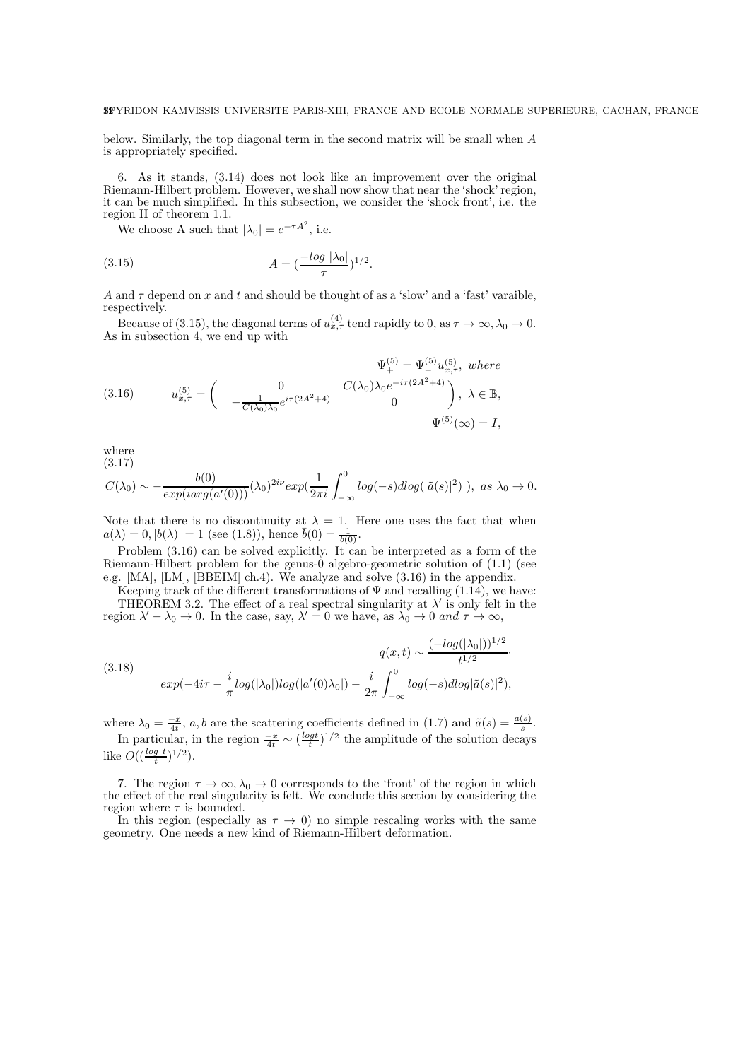below. Similarly, the top diagonal term in the second matrix will be small when A is appropriately specified.

6. As it stands, (3.14) does not look like an improvement over the original Riemann-Hilbert problem. However, we shall now show that near the 'shock' region, it can be much simplified. In this subsection, we consider the 'shock front', i.e. the region II of theorem 1.1.

We choose A such that  $|\lambda_0| = e^{-\tau A^2}$ , i.e.

(3.15) 
$$
A = \left(\frac{-\log |\lambda_0|}{\tau}\right)^{1/2}.
$$

A and  $\tau$  depend on x and t and should be thought of as a 'slow' and a 'fast' varaible, respectively.

Because of (3.15), the diagonal terms of  $u_{x,\tau}^{(4)}$  tend rapidly to 0, as  $\tau \to \infty$ ,  $\lambda_0 \to 0$ . As in subsection 4, we end up with

(3.16) 
$$
\Psi_{+}^{(5)} = \Psi_{-}^{(5)} u_{x,\tau}^{(5)}, \text{ where}
$$

$$
u_{x,\tau}^{(5)} = \begin{pmatrix} 0 & C(\lambda_0) \lambda_0 e^{-i\tau (2A^2 + 4)} \\ -\frac{1}{C(\lambda_0)\lambda_0} e^{i\tau (2A^2 + 4)} & 0 \end{pmatrix}, \lambda \in \mathbb{B},
$$

$$
\Psi_{+}^{(5)}(\infty) = I,
$$

where (3.17)

$$
C(\lambda_0)\sim -\frac{b(0)}{exp(iarg(a'(0)))}(\lambda_0)^{2i\nu}exp(\frac{1}{2\pi i}\int_{-\infty}^0log(-s) dlog(|\tilde{a}(s)|^2)), \text{ as }\lambda_0\to 0.
$$

Note that there is no discontinuity at  $\lambda = 1$ . Here one uses the fact that when  $a(\lambda) = 0, |b(\lambda)| = 1$  (see (1.8)), hence  $\bar{b}(0) = \frac{1}{b(0)}$ .

Problem (3.16) can be solved explicitly. It can be interpreted as a form of the Riemann-Hilbert problem for the genus-0 algebro-geometric solution of (1.1) (see e.g. [MA], [LM], [BBEIM] ch.4). We analyze and solve (3.16) in the appendix.

Keeping track of the different transformations of  $\Psi$  and recalling (1.14), we have: THEOREM 3.2. The effect of a real spectral singularity at  $\lambda'$  is only felt in the region  $\lambda' - \lambda_0 \to 0$ . In the case, say,  $\lambda' = 0$  we have, as  $\lambda_0 \to 0$  and  $\tau \to \infty$ ,

(3.18) 
$$
q(x,t) \sim \frac{(-\log(|\lambda_0|))^{1/2}}{t^{1/2}} \cdot
$$

$$
exp(-4i\tau - \frac{i}{\pi} \log(|\lambda_0|) \log(|a'(0)\lambda_0|) - \frac{i}{2\pi} \int_{-\infty}^0 \log(-s) d\log|\tilde{a}(s)|^2),
$$

where  $\lambda_0 = \frac{-x}{4t}$ , a, b are the scattering coefficients defined in (1.7) and  $\tilde{a}(s) = \frac{a(s)}{s}$ .

In particular, in the region  $\frac{-x}{4t} \sim (\frac{\log t}{t})^{1/2}$  the amplitude of the solution decays like  $O((\frac{\log t}{t})^{1/2})$ .

7. The region  $\tau \to \infty, \lambda_0 \to 0$  corresponds to the 'front' of the region in which the effect of the real singularity is felt. We conclude this section by considering the region where  $\tau$  is bounded.

In this region (especially as  $\tau \to 0$ ) no simple rescaling works with the same geometry. One needs a new kind of Riemann-Hilbert deformation.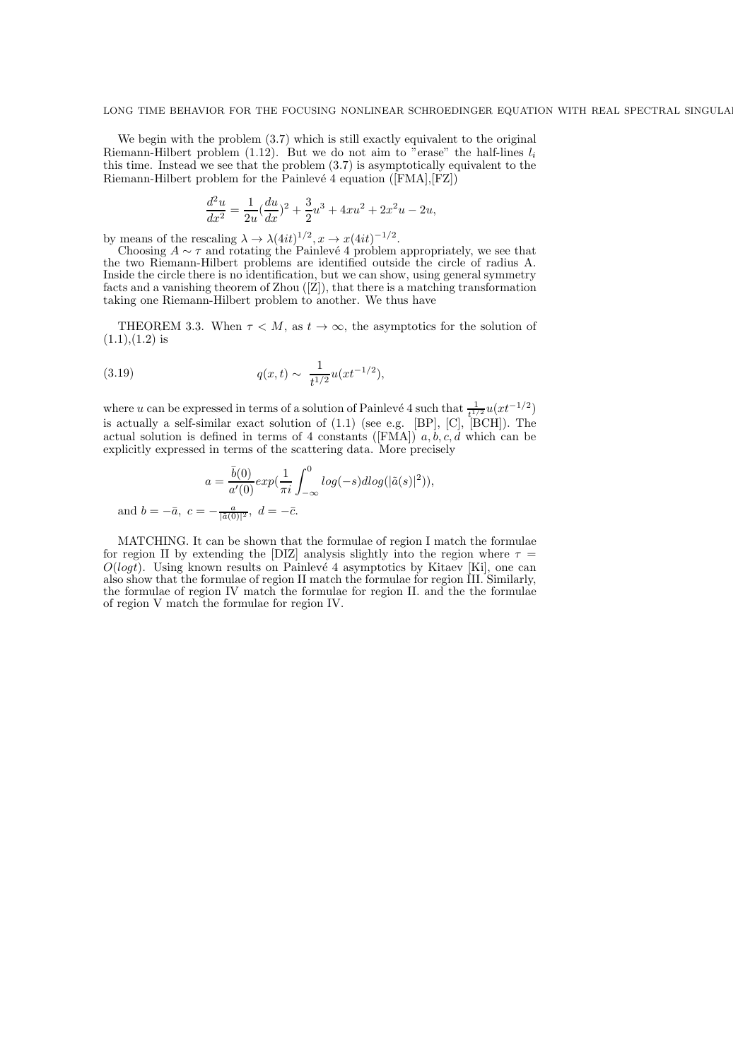We begin with the problem  $(3.7)$  which is still exactly equivalent to the original Riemann-Hilbert problem (1.12). But we do not aim to "erase" the half-lines  $l_i$ this time. Instead we see that the problem (3.7) is asymptotically equivalent to the Riemann-Hilbert problem for the Painlevé 4 equation ([FMA],[FZ])

$$
\frac{d^2u}{dx^2} = \frac{1}{2u}(\frac{du}{dx})^2 + \frac{3}{2}u^3 + 4xu^2 + 2x^2u - 2u,
$$

by means of the rescaling  $\lambda \to \lambda (4it)^{1/2}, x \to x(4it)^{-1/2}.$ 

Choosing  $A \sim \tau$  and rotating the Painlevé 4 problem appropriately, we see that the two Riemann-Hilbert problems are identified outside the circle of radius A. Inside the circle there is no identification, but we can show, using general symmetry facts and a vanishing theorem of Zhou ([Z]), that there is a matching transformation taking one Riemann-Hilbert problem to another. We thus have

THEOREM 3.3. When  $\tau \leq M$ , as  $t \to \infty$ , the asymptotics for the solution of  $(1.1),(1.2)$  is

(3.19) 
$$
q(x,t) \sim \frac{1}{t^{1/2}} u(xt^{-1/2}),
$$

where u can be expressed in terms of a solution of Painlevé 4 such that  $\frac{1}{t^{1/2}}u(xt^{-1/2})$ is actually a self-similar exact solution of (1.1) (see e.g. [BP], [C], [BCH]). The actual solution is defined in terms of 4 constants ([FMA])  $a, b, c, d$  which can be explicitly expressed in terms of the scattering data. More precisely

$$
a = \frac{\bar{b}(0)}{a'(0)} exp(\frac{1}{\pi i} \int_{-\infty}^{0} log(-s) dlog(|\tilde{a}(s)|^2)),
$$

and  $b = -\bar{a}$ ,  $c = -\frac{a}{|\tilde{a}(0)|^2}$ ,  $d = -\bar{c}$ .

MATCHING. It can be shown that the formulae of region I match the formulae for region II by extending the [DIZ] analysis slightly into the region where  $\tau =$  $O(log t)$ . Using known results on Painlevé 4 asymptotics by Kitaev [Ki], one can also show that the formulae of region II match the formulae for region III. Similarly, the formulae of region IV match the formulae for region II. and the the formulae of region V match the formulae for region IV.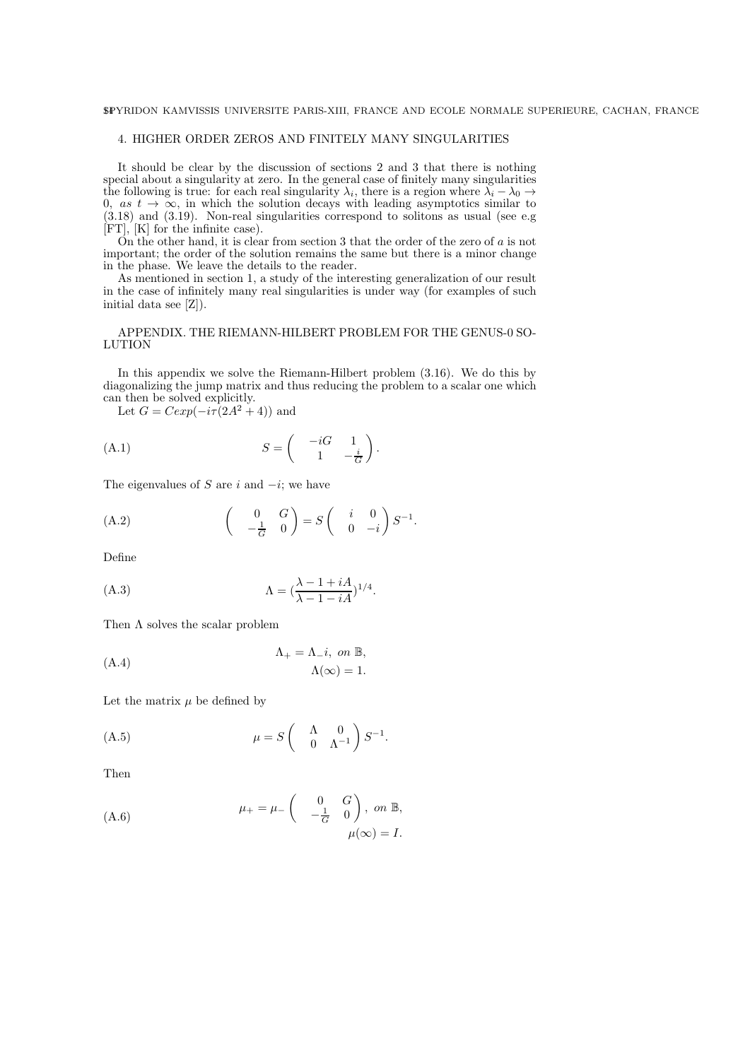## 4. HIGHER ORDER ZEROS AND FINITELY MANY SINGULARITIES

It should be clear by the discussion of sections 2 and 3 that there is nothing special about a singularity at zero. In the general case of finitely many singularities the following is true: for each real singularity  $\lambda_i$ , there is a region where  $\lambda_i - \lambda_0 \rightarrow$ 0, as  $t \to \infty$ , in which the solution decays with leading asymptotics similar to (3.18) and (3.19). Non-real singularities correspond to solitons as usual (see e.g [FT], [K] for the infinite case).

On the other hand, it is clear from section 3 that the order of the zero of  $a$  is not important; the order of the solution remains the same but there is a minor change in the phase. We leave the details to the reader.

As mentioned in section 1, a study of the interesting generalization of our result in the case of infinitely many real singularities is under way (for examples of such initial data see [Z]).

## APPENDIX. THE RIEMANN-HILBERT PROBLEM FOR THE GENUS-0 SO-LUTION

In this appendix we solve the Riemann-Hilbert problem (3.16). We do this by diagonalizing the jump matrix and thus reducing the problem to a scalar one which can then be solved explicitly.

Let  $G = C \exp(-i\tau(2A^2 + 4))$  and

(A.1) 
$$
S = \begin{pmatrix} -iG & 1 \\ 1 & -\frac{i}{G} \end{pmatrix}.
$$

The eigenvalues of S are i and  $-i$ ; we have

(A.2) 
$$
\begin{pmatrix} 0 & G \ -\frac{1}{G} & 0 \end{pmatrix} = S \begin{pmatrix} i & 0 \ 0 & -i \end{pmatrix} S^{-1}.
$$

Define

(A.3) 
$$
\Lambda = \left(\frac{\lambda - 1 + iA}{\lambda - 1 - iA}\right)^{1/4}.
$$

Then  $\Lambda$  solves the scalar problem

(A.4) 
$$
\Lambda_{+} = \Lambda_{-}i, \text{ on } \mathbb{B},
$$

$$
\Lambda(\infty) = 1.
$$

Let the matrix  $\mu$  be defined by

(A.5) 
$$
\mu = S \begin{pmatrix} \Lambda & 0 \\ 0 & \Lambda^{-1} \end{pmatrix} S^{-1}.
$$

Then

(A.6) 
$$
\mu_{+} = \mu_{-} \begin{pmatrix} 0 & G \\ -\frac{1}{G} & 0 \end{pmatrix}, \text{ on } \mathbb{B},
$$

$$
\mu(\infty) = I.
$$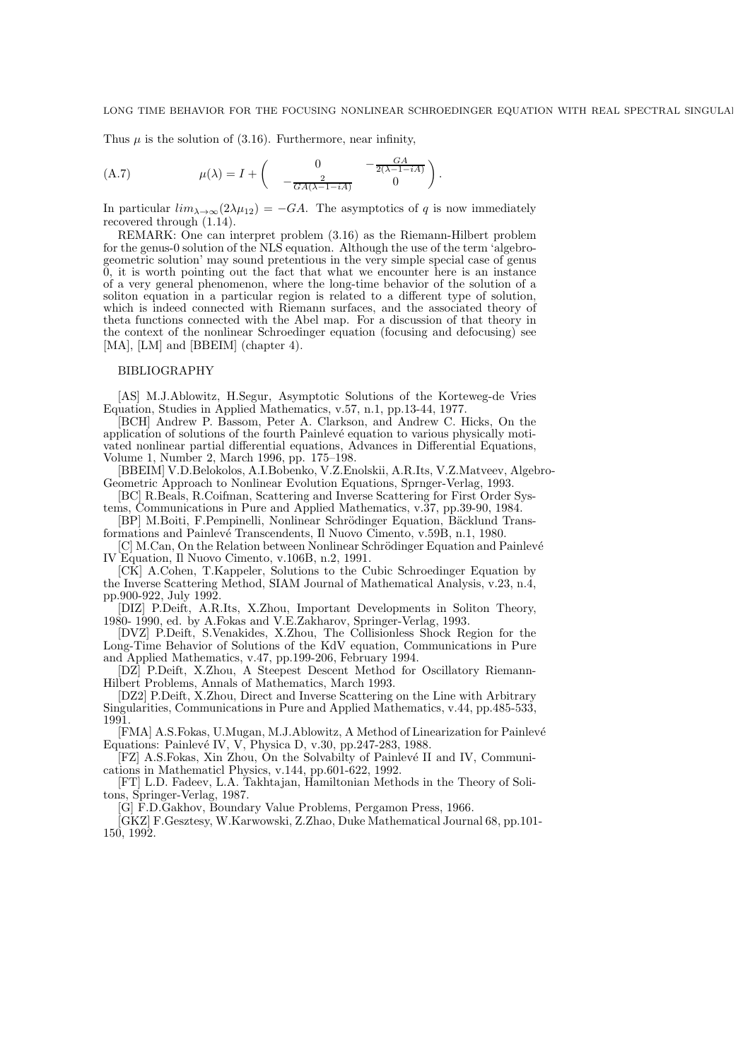Thus  $\mu$  is the solution of (3.16). Furthermore, near infinity,

(A.7) 
$$
\mu(\lambda) = I + \begin{pmatrix} 0 & -\frac{GA}{2(\lambda - 1 - iA)} \\ -\frac{2}{GA(\lambda - 1 - iA)} & 0 \end{pmatrix}.
$$

In particular  $\lim_{\lambda \to \infty} (2\lambda \mu_{12}) = -GA$ . The asymptotics of q is now immediately recovered through (1.14).

REMARK: One can interpret problem (3.16) as the Riemann-Hilbert problem for the genus-0 solution of the NLS equation. Although the use of the term 'algebrogeometric solution' may sound pretentious in the very simple special case of genus 0, it is worth pointing out the fact that what we encounter here is an instance of a very general phenomenon, where the long-time behavior of the solution of a soliton equation in a particular region is related to a different type of solution, which is indeed connected with Riemann surfaces, and the associated theory of theta functions connected with the Abel map. For a discussion of that theory in the context of the nonlinear Schroedinger equation (focusing and defocusing) see [MA], [LM] and [BBEIM] (chapter 4).

## BIBLIOGRAPHY

[AS] M.J.Ablowitz, H.Segur, Asymptotic Solutions of the Korteweg-de Vries Equation, Studies in Applied Mathematics, v.57, n.1, pp.13-44, 1977.

[BCH] Andrew P. Bassom, Peter A. Clarkson, and Andrew C. Hicks, On the application of solutions of the fourth Painlevé equation to various physically motivated nonlinear partial differential equations, Advances in Differential Equations, Volume 1, Number 2, March 1996, pp. 175–198.

[BBEIM] V.D.Belokolos, A.I.Bobenko, V.Z.Enolskii, A.R.Its, V.Z.Matveev, Algebro-Geometric Approach to Nonlinear Evolution Equations, Sprnger-Verlag, 1993.

[BC] R.Beals, R.Coifman, Scattering and Inverse Scattering for First Order Systems, Communications in Pure and Applied Mathematics, v.37, pp.39-90, 1984.

[BP] M.Boiti, F.Pempinelli, Nonlinear Schrödinger Equation, Bäcklund Transformations and Painlevé Transcendents, Il Nuovo Cimento, v.59B, n.1, 1980.

 $[C]$  M.Can, On the Relation between Nonlinear Schrödinger Equation and Painlevé IV Equation, Il Nuovo Cimento, v.106B, n.2, 1991.

[CK] A.Cohen, T.Kappeler, Solutions to the Cubic Schroedinger Equation by the Inverse Scattering Method, SIAM Journal of Mathematical Analysis, v.23, n.4, pp.900-922, July 1992.

[DIZ] P.Deift, A.R.Its, X.Zhou, Important Developments in Soliton Theory, 1980- 1990, ed. by A.Fokas and V.E.Zakharov, Springer-Verlag, 1993.

[DVZ] P.Deift, S.Venakides, X.Zhou, The Collisionless Shock Region for the Long-Time Behavior of Solutions of the KdV equation, Communications in Pure and Applied Mathematics, v.47, pp.199-206, February 1994.

[DZ] P.Deift, X.Zhou, A Steepest Descent Method for Oscillatory Riemann-Hilbert Problems, Annals of Mathematics, March 1993.

[DZ2] P.Deift, X.Zhou, Direct and Inverse Scattering on the Line with Arbitrary Singularities, Communications in Pure and Applied Mathematics, v.44, pp.485-533, 1991.

[FMA] A.S.Fokas, U.Mugan, M.J.Ablowitz, A Method of Linearization for Painlevé Equations: Painlevé IV, V, Physica D, v.30, pp.247-283, 1988.

[FZ] A.S.Fokas, Xin Zhou, On the Solvabilty of Painlevé II and IV, Communications in Mathematicl Physics, v.144, pp.601-622, 1992.

[FT] L.D. Fadeev, L.A. Takhtajan, Hamiltonian Methods in the Theory of Solitons, Springer-Verlag, 1987.

[G] F.D.Gakhov, Boundary Value Problems, Pergamon Press, 1966.

[GKZ] F.Gesztesy, W.Karwowski, Z.Zhao, Duke Mathematical Journal 68, pp.101- 150, 1992.